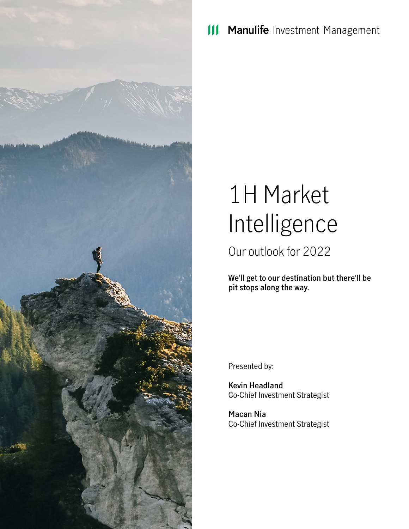

Manulife Investment Management  $\mathbf{III}$ 

# 1H Market Intelligence

Our outlook for 2022

**We'll get to our destination but there'll be pit stops along the way.**

Presented by:

**Kevin Headland** Co-Chief Investment Strategist

**Macan Nia** Co-Chief Investment Strategist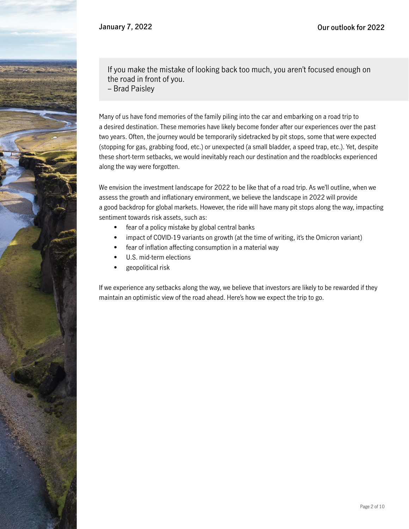

If you make the mistake of looking back too much, you aren't focused enough on the road in front of you.

– Brad Paisley

Many of us have fond memories of the family piling into the car and embarking on a road trip to a desired destination. These memories have likely become fonder after our experiences over the past two years. Often, the journey would be temporarily sidetracked by pit stops, some that were expected (stopping for gas, grabbing food, etc.) or unexpected (a small bladder, a speed trap, etc.). Yet, despite these short-term setbacks, we would inevitably reach our destination and the roadblocks experienced along the way were forgotten.

We envision the investment landscape for 2022 to be like that of a road trip. As we'll outline, when we assess the growth and inflationary environment, we believe the landscape in 2022 will provide a good backdrop for global markets. However, the ride will have many pit stops along the way, impacting sentiment towards risk assets, such as:

- fear of a policy mistake by global central banks
- impact of COVID-19 variants on growth (at the time of writing, it's the Omicron variant)
- fear of inflation affecting consumption in a material way
- U.S. mid-term elections
- geopolitical risk

If we experience any setbacks along the way, we believe that investors are likely to be rewarded if they maintain an optimistic view of the road ahead. Here's how we expect the trip to go.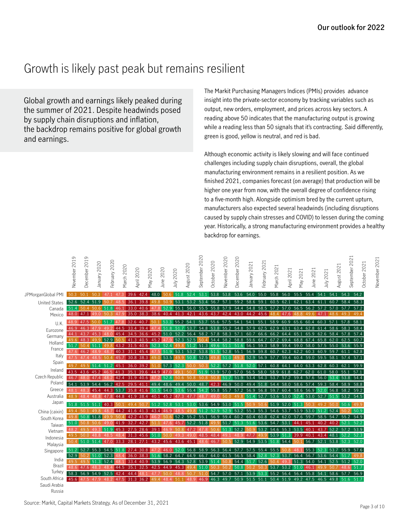### Growth is likely past peak but remains resilient

Global growth and earnings likely peaked during the summer of 2021. Despite headwinds posed by supply chain disruptions and inflation, the backdrop remains positive for global growth and earnings.

The Markit Purchasing Managers Indices (PMIs) provides advance insight into the private-sector economy by tracking variables such as output, new orders, employment, and prices across key sectors. A reading above 50 indicates that the manufacturing output is growing while a reading less than 50 signals that it's contracting. Said differently, green is good, yellow is neutral, and red is bad.

Although economic activity is likely slowing and will face continued challenges including supply chain disruptions, overall, the global manufacturing environment remains in a resilient position. As we finished 2021, companies forecast (on average) that production will be higher one year from now, with the overall degree of confidence rising to a five-month high. Alongside optimism bred by the current upturn, manufacturers also expected several headwinds (including disruptions caused by supply chain stresses and COVID) to lessen during the coming year. Historically, a strong manufacturing environment provides a healthy backdrop for earnings.

| 39.6<br>424<br>48.0<br>51.8<br>52.4<br>53.<br>53.8<br>53.6<br>54.0<br>54<br>543<br>JPMorganGlobal PMI<br>50.3<br>50.3<br>47<br>53.8<br>55.<br>55.8<br>56.0<br>55<br>554<br>54<br>50.<br>59.2<br>58.6<br>60.7<br>58.4<br>52.6<br>39.8<br>53.1<br>53.2<br>53.4<br>56.7<br>59.1<br>60.5<br>62.1<br>62.1<br>63.4<br>61.1<br>52.4<br>51.9<br>36.1<br>50.9<br>57<br><b>United States</b><br>48.<br>49 8<br>57.7<br>55.1<br>56.0<br>55.5<br>54.4<br>54.8<br>58.5<br>57<br>57.0<br>56.5<br>56.2<br>57.2<br>57.0<br>51.4<br>51.8<br>46.1<br>33.0<br>40.6<br>52.9<br>55.8<br>57.9<br>$\overline{\mathcal{L}}$<br>504<br>50.6<br>Canada | 54.2<br>58.3<br>57.2<br>49.4<br>58.1<br>58.4<br>57.4 |
|------------------------------------------------------------------------------------------------------------------------------------------------------------------------------------------------------------------------------------------------------------------------------------------------------------------------------------------------------------------------------------------------------------------------------------------------------------------------------------------------------------------------------------------------------------------------------------------------------------------------------|------------------------------------------------------|
|                                                                                                                                                                                                                                                                                                                                                                                                                                                                                                                                                                                                                              |                                                      |
|                                                                                                                                                                                                                                                                                                                                                                                                                                                                                                                                                                                                                              |                                                      |
|                                                                                                                                                                                                                                                                                                                                                                                                                                                                                                                                                                                                                              |                                                      |
| 35.0<br>45<br>49.3<br>48.0<br>38.3<br>38.<br>$6 \sigma$<br>41<br>3<br>42<br>43.6<br>43<br>43.<br>$\Omega$<br>44 2<br>-6<br>48.6<br>40<br>Δ<br>Mexico<br>-4                                                                                                                                                                                                                                                                                                                                                                                                                                                                   |                                                      |
| 48.9<br>53.3 55.2 54.1<br>53.7<br>55.6<br>57.5<br>54.1<br>54.1<br>55.1<br>58.9<br>65.6<br>60.4<br>60.3<br>57.1<br>57.8<br>51<br>32.6 40.7<br>50.1<br>60.9<br>U.K.                                                                                                                                                                                                                                                                                                                                                                                                                                                            |                                                      |
| 58.3<br>46.9<br>44.5<br>33.4<br>39.4<br>151.8<br>51<br>$.7$   53.7<br>54.8 53.8 55.2<br>54.8<br>57.9<br>62.5<br>62.9<br>63.1<br>63.4<br>62.8<br>61.4 58.6<br>46.3<br>Eurozone                                                                                                                                                                                                                                                                                                                                                                                                                                                |                                                      |
| 58.2<br>62.6<br>58.4<br>57.8<br>34.5<br>36.6<br>45.2 51.0<br>52.2<br>56.4<br>57.8<br>58.3<br>57.1<br>60.7<br>66.6<br>66.2<br>64.4<br>65.1<br>65.9<br>44.1<br>43.7<br>45<br>Germany<br>54.4 58.2 58.8<br>59.6<br>62.0 62.5<br>49.6 48.3<br>52.9<br>41.3 40.5<br>45.2 47<br>52.3 52.5<br>64.7<br>67.2<br>69.4<br>68.8<br>67.4<br>65.8                                                                                                                                                                                                                                                                                          | 60.7                                                 |
| Holland<br>51.6 56.1<br>59.3<br>58.0<br>57.5<br>55.0 53.6 55.9<br>51.7<br>40.6<br>52.4<br>49.8 51.2<br>51.349.6<br>58.9<br>59.4<br>59.0<br>43.2<br>31.5<br>52.3<br>51.1                                                                                                                                                                                                                                                                                                                                                                                                                                                      |                                                      |
| France<br>62.2<br>59.8<br>62.3<br>60.3<br>60.9<br>59.7<br>61<br>47.6<br>45.<br>-9<br>53.1<br>53.2<br>53.8<br>52.8<br>55.<br>56.9<br>60.7<br>46.2<br>40<br>51<br>.5                                                                                                                                                                                                                                                                                                                                                                                                                                                           | 62.8                                                 |
| Italy<br>475<br>30.8<br>52.9<br>59.4<br>60.4<br>59.0<br>58.1<br>57.4<br>504<br>45<br>38.3<br>$\Delta$ Q<br>499508<br>52.5<br>56.9<br>57<br>59.5<br>53.5<br>51<br>$\Omega$<br>49                                                                                                                                                                                                                                                                                                                                                                                                                                              | 57.1                                                 |
| Spain<br>62.<br>49.7<br>36.0<br>39.2<br>52<br>52.0<br>64.<br>64.0<br>63.3<br>62.8<br>60.3<br>51<br>45<br>57<br>50<br>$52^{\circ}$<br>-2<br>57<br>51<br>.8<br>57<br>60.8<br>2                                                                                                                                                                                                                                                                                                                                                                                                                                                 | 59.9                                                 |
| Ireland<br>43.5<br>56.5<br>55.1<br>35.1<br>39.6<br>53.9<br>57.0<br>58.0<br>58.9<br>61.8<br>62.7<br>62.0<br>61.0<br>58.0<br>41<br>44.9<br>50.<br>51.9<br>57.0<br>$\Omega$<br>49.1                                                                                                                                                                                                                                                                                                                                                                                                                                             | 57.1                                                 |
| Czech Republic<br>53.8<br>46.7<br>42.4<br>31.9<br>40.6<br>50.8<br>50.8<br>51.9<br>53.4<br>54.3<br>53.7<br>57.2<br>59.4<br>57.6<br>56.0<br>53.4<br>52.8<br>50.8 51<br>50.6                                                                                                                                                                                                                                                                                                                                                                                                                                                    | 54.4                                                 |
| Poland<br>54<br>29.5 41<br>48.7<br>50.0<br>49.4<br>58.0<br>58.4<br>58.9<br>56.2<br>42.5<br>49.4<br>48.6<br>49.4<br>50.0<br>42.3<br>46.9<br>51<br>54.4<br>58.6<br>57.4<br>59.3<br>539<br>544<br>.8                                                                                                                                                                                                                                                                                                                                                                                                                            | 58.8                                                 |
| Greece<br>35.8 41.6<br>$51.5$ 54.0<br>53.6 55.4 54.2 55.8<br>57.2<br>56.9<br>60.4<br>58.6<br>56.9 52.0 56.8<br>58.2<br>45.4<br>44.<br>3<br>53.7<br>55.7<br>56.8<br>59.7                                                                                                                                                                                                                                                                                                                                                                                                                                                      | 59.2                                                 |
| Australia<br>48.9<br>53.0 52.4<br>53.2<br>484<br>41.9 38.4<br>40.1<br>45.2 47.3<br>49 <sub>0</sub><br>500<br>498<br>51.4<br>52<br>53.6<br>53.0<br>52.7<br>51.5<br>48.8<br>478<br>44 8<br>47<br>48.7                                                                                                                                                                                                                                                                                                                                                                                                                          | 54.5                                                 |
| Japan<br>51.8<br>$52.0$ 51.3<br>50.6<br>51<br>51<br>.2<br>52.8<br>53.<br>53.0<br>53.6<br>54.9<br>53.0<br>51<br>.5<br>51.9<br>.5<br>51<br>50 9<br>-50<br>49                                                                                                                                                                                                                                                                                                                                                                                                                                                                   | 49.9                                                 |
| 49.4<br>53<br>$\mathcal{P}$<br>55.<br>55<br>52.4<br>ാ<br>46.9<br>51<br>$\mathcal{P}$<br>.52.9<br>$\mathcal{R}$<br>53<br>53.9<br>53 $0$<br>51<br>$\mathcal{P}$<br>China (caixin)<br>6<br>49 R<br>529<br>-3<br>54                                                                                                                                                                                                                                                                                                                                                                                                              | 50.9                                                 |
| 50.8<br>55.2<br>49.8  <br>51<br>.8<br>52.2<br>55.2<br>55.<br>59.4<br>60.2<br>60.4<br>60.8<br>62.4<br>62.0<br>57.6<br>59.<br>58.5<br>54<br>50<br>56.9<br>South Korea                                                                                                                                                                                                                                                                                                                                                                                                                                                          | 54.9                                                 |
| 51.0<br>51<br>$\mathsf{\mathsf{R}}$<br>51<br>.3<br>51.6<br>53<br>54<br>53<br>40.2<br>52.<br>52.2<br>51<br>.6<br>45.<br>Taiwan                                                                                                                                                                                                                                                                                                                                                                                                                                                                                                | 52.2                                                 |
| 52<br>48.2<br>39<br>2<br>53<br>$\mathcal{D}$<br>55.3<br>43<br>522<br>57<br>$\overline{\mathcal{L}}$<br>495<br>50<br>54<br>53.5<br>Q<br>16 Q<br>Vietnam                                                                                                                                                                                                                                                                                                                                                                                                                                                                       | 53.9                                                 |
| 52.2<br>49.5<br>50.0<br>49<br>48.5<br>48<br>39.9<br>43.4<br>48.1<br>53.9<br>51<br>Indonesia                                                                                                                                                                                                                                                                                                                                                                                                                                                                                                                                  | 52.3                                                 |
| 51<br>53.8<br>52.3<br>50.4<br>51.0<br>45.6<br>43.6<br>45.<br>46<br>52.9<br>54.9<br>53<br>54.4<br>56.<br>.5<br>Malaysia                                                                                                                                                                                                                                                                                                                                                                                                                                                                                                       | 52.0                                                 |
| 58.9<br>57.5<br>55.4<br>55.5<br>$55.3$ 52.3<br>53.7<br>55.9<br>52.7<br>55.3<br>54.5<br>30.8<br>46.0<br>$52.0$ 56.8<br>56.3<br>56.4<br>57.7<br>50.8<br>51.2<br>4<br>48<br>51<br>.8<br>Singapore                                                                                                                                                                                                                                                                                                                                                                                                                               | 57.6                                                 |
| 58.4<br>56.4<br>52.9<br>52.3<br>58.2<br>64.<br>64.9<br>66.7<br>64.0<br>61.5<br>56.5<br>52.8<br>53.7<br>56.<br>54.4<br>51<br>51<br>36.0<br>38.3<br>52.3<br>53.6<br>.6                                                                                                                                                                                                                                                                                                                                                                                                                                                         |                                                      |
| India<br>54.4<br>52.6<br>51.3<br>54.0<br>52.5<br>51.2<br>49.5<br>52.4<br>33.4<br>54.3<br>52.8<br>53.9 51.4<br>51.7<br>54.1<br>52.0<br>51<br>40.9<br>53.9<br>56.9<br>49<br>48                                                                                                                                                                                                                                                                                                                                                                                                                                                 |                                                      |
| Brazil<br>48.6<br>44.5<br>35.1<br>32.5<br>44.9<br>45.3<br>51<br>50.8<br>53.2 51.0<br>46.1<br>42.5<br>53.7<br>499<br>50.<br>48.6<br>$\Omega$<br>50<br>50<br>Turkey                                                                                                                                                                                                                                                                                                                                                                                                                                                            | 51.7                                                 |
| 58.3<br>52.5<br>53.9 53<br>55.2<br>56.4<br>56.4<br>55.8 54.1<br>58.6<br>57.7<br>54.9<br>42.4<br>44.4<br>50.0<br>51<br>54.7<br>57.0<br>57.1<br>56.9<br>48.8<br>50.7<br>.3<br>South Africa                                                                                                                                                                                                                                                                                                                                                                                                                                     | 56.9                                                 |
| 45.6<br>.3 36.2<br>49.4<br>51.1<br>46.9<br>46.3<br>49.7<br>50.9<br>51.5<br>51<br>50.4<br>51.9<br>49.2<br>47.5<br>46.5<br>49.8 51.6<br>.5<br>-31<br>48.4<br>48.9<br>-51.7<br>Saudi Arabia                                                                                                                                                                                                                                                                                                                                                                                                                                     |                                                      |

Russia

November 2021

Vovember 2021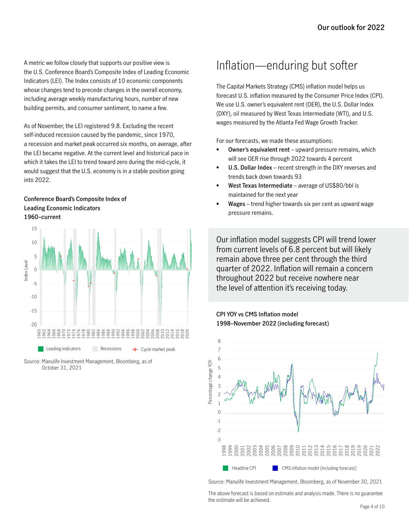A metric we follow closely that supports our positive view is the U.S. Conference Board's Composite Index of Leading Economic Indicators (LEI). The Index consists of 10 economic components whose changes tend to precede changes in the overall economy, including average weekly manufacturing hours, number of new building permits, and consumer sentiment, to name a few.

As of November, the LEI registered 9.8. Excluding the recent self-induced recession caused by the pandemic, since 1970, a recession and market peak occurred six months, on average, after the LEI became negative. At the current level and historical pace in which it takes the LEI to trend toward zero during the mid-cycle, it would suggest that the U.S. economy is in a stable position going into 2022.

#### **Conference Board's Composite Index of Leading Economic Indicators 1960–current**



Source: Manulife Investment Management, Bloomberg, as of October 31, 2021

### Inflation—enduring but softer

The Capital Markets Strategy (CMS) inflation model helps us forecast U.S. inflation measured by the Consumer Price Index (CPI). We use U.S. owner's equivalent rent (OER), the U.S. Dollar Index (DXY), oil measured by West Texas Intermediate (WTI), and U.S. wages measured by the Atlanta Fed Wage Growth Tracker.

For our forecasts, we made these assumptions:

- **• Owner's equivalent rent**  upward pressure remains, which will see OER rise through 2022 towards 4 percent
- **• U.S. Dollar Index** recent strength in the DXY reverses and trends back down towards 93
- **• West Texas Intermediate** average of US\$80/bbl is maintained for the next year
- **• Wages**  trend higher towards six per cent as upward wage pressure remains.

Our inflation model suggests CPI will trend lower from current levels of 6.8 percent but will likely remain above three per cent through the third quarter of 2022. Inflation will remain a concern throughout 2022 but receive nowhere near the level of attention it's receiving today.

### **CPI YOY vs CMS Inflation model 1998–November 2022 (including forecast)**



Source: Manulife Investment Management, Bloomberg, as of November 30, 2021

The above forecast is based on estimate and analysis made. There is no guarantee the estimate will be achieved.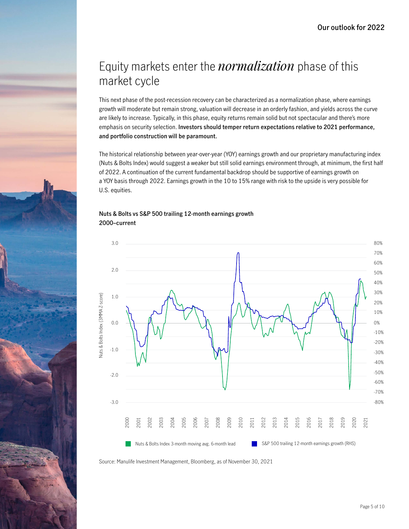### Equity markets enter the *normalization* phase of this market cycle

This next phase of the post-recession recovery can be characterized as a normalization phase, where earnings growth will moderate but remain strong, valuation will decrease in an orderly fashion, and yields across the curve are likely to increase. Typically, in this phase, equity returns remain solid but not spectacular and there's more emphasis on security selection. **Investors should temper return expectations relative to 2021 performance, and portfolio construction will be paramount.**

The historical relationship between year-over-year (YOY) earnings growth and our proprietary manufacturing index (Nuts & Bolts Index) would suggest a weaker but still solid earnings environment through, at minimum, the first half of 2022. A continuation of the current fundamental backdrop should be supportive of earnings growth on a YOY basis through 2022. Earnings growth in the 10 to 15% range with risk to the upside is very possible for U.S. equities.

#### **Nuts & Bolts vs S&P 500 trailing 12-month earnings growth 2000–current**



Source: Manulife Investment Management, Bloomberg, as of November 30, 2021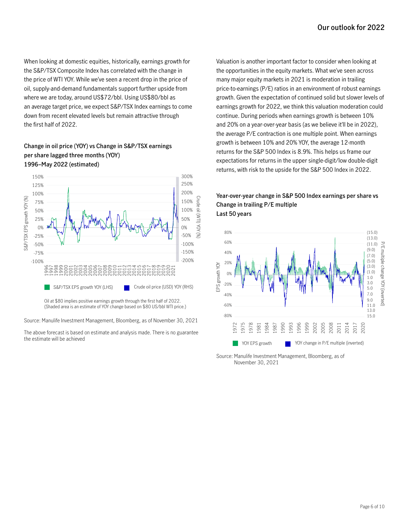When looking at domestic equities, historically, earnings growth for the S&P/TSX Composite Index has correlated with the change in the price of WTI YOY. While we've seen a recent drop in the price of oil, supply-and-demand fundamentals support further upside from where we are today, around US\$72/bbl. Using US\$80/bbl as an average target price, we expect S&P/TSX Index earnings to come down from recent elevated levels but remain attractive through the first half of 2022.

### **Change in oil price (YOY) vs Change in S&P/TSX earnings per share lagged three months (YOY) 1996–May 2022 (estimated)**



Oil at \$80 implies positive earnings growth through the first half of 2022. (Shaded area is an estimate of YOY change based on \$80 US/bbl WTI price.)

Source: Manulife Investment Management, Bloomberg, as of November 30, 2021

The above forecast is based on estimate and analysis made. There is no guarantee the estimate will be achieved

Valuation is another important factor to consider when looking at the opportunities in the equity markets. What we've seen across many major equity markets in 2021 is moderation in trailing price-to-earnings (P/E) ratios in an environment of robust earnings growth. Given the expectation of continued solid but slower levels of earnings growth for 2022, we think this valuation moderation could continue. During periods when earnings growth is between 10% and 20% on a year-over-year basis (as we believe it'll be in 2022), the average P/E contraction is one multiple point. When earnings growth is between 10% and 20% YOY, the average 12-month returns for the S&P 500 Index is 8.9%. This helps us frame our expectations for returns in the upper single-digit/low double-digit returns, with risk to the upside for the S&P 500 Index in 2022.

### **Year-over-year change in S&P 500 Index earnings per share vs Change in trailing P/E multiple Last 50 years**



Source: Manulife Investment Management, Bloomberg, as of November 30, 2021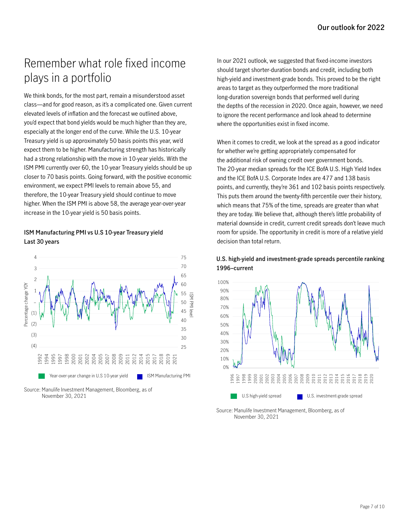## Remember what role fixed income plays in a portfolio

We think bonds, for the most part, remain a misunderstood asset class—and for good reason, as it's a complicated one. Given current elevated levels of inflation and the forecast we outlined above, you'd expect that bond yields would be much higher than they are, especially at the longer end of the curve. While the U.S. 10-year Treasury yield is up approximately 50 basis points this year, we'd expect them to be higher. Manufacturing strength has historically had a strong relationship with the move in 10-year yields. With the ISM PMI currently over 60, the 10-year Treasury yields should be up closer to 70 basis points. Going forward, with the positive economic environment, we expect PMI levels to remain above 55, and therefore, the 10-year Treasury yield should continue to move higher. When the ISM PMI is above 58, the average year-over-year increase in the 10-year yield is 50 basis points.

### **ISM Manufacturing PMI vs U.S 10-year Treasury yield Last 30 years**



Source: Manulife Investment Management, Bloomberg, as of November 30, 2021

In our 2021 outlook, we suggested that fixed-income investors should target shorter-duration bonds and credit, including both high-yield and investment-grade bonds. This proved to be the right areas to target as they outperformed the more traditional long-duration sovereign bonds that performed well during the depths of the recession in 2020. Once again, however, we need to ignore the recent performance and look ahead to determine where the opportunities exist in fixed income.

When it comes to credit, we look at the spread as a good indicator for whether we're getting appropriately compensated for the additional risk of owning credit over government bonds. The 20-year median spreads for the ICE BofA U.S. High Yield Index and the ICE BofA U.S. Corporate Index are 477 and 138 basis points, and currently, they're 361 and 102 basis points respectively. This puts them around the twenty-fifth percentile over their history, which means that 75% of the time, spreads are greater than what they are today. We believe that, although there's little probability of material downside in credit, current credit spreads don't leave much room for upside. The opportunity in credit is more of a relative yield decision than total return.



1996 1997 1998 1999 2000 2001 2002 2003 2004 2005 2006 2007 2008 2009 2010 2011 2012 2013 2014 2015 2016 2017 2018 2019 2020

U.S. investment-grade spread

### **U.S. high-yield and investment-grade spreads percentile ranking 1996–current**

Source: Manulife Investment Management, Bloomberg, as of November 30, 2021

U.S high-yield spread

0%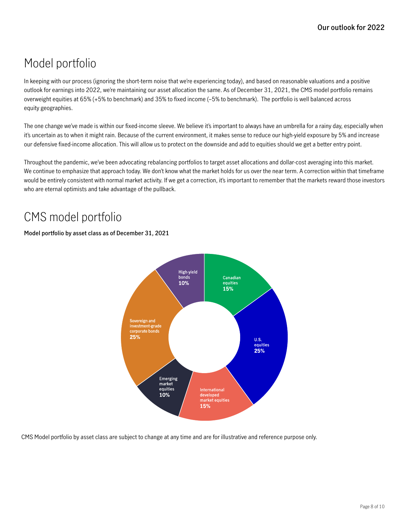## Model portfolio

In keeping with our process (ignoring the short-term noise that we're experiencing today), and based on reasonable valuations and a positive outlook for earnings into 2022, we're maintaining our asset allocation the same. As of December 31, 2021, the CMS model portfolio remains overweight equities at 65% (+5% to benchmark) and 35% to fixed income (–5% to benchmark). The portfolio is well balanced across equity geographies.

The one change we've made is within our fixed-income sleeve. We believe it's important to always have an umbrella for a rainy day, especially when it's uncertain as to when it might rain. Because of the current environment, it makes sense to reduce our high-yield exposure by 5% and increase our defensive fixed-income allocation. This will allow us to protect on the downside and add to equities should we get a better entry point.

Throughout the pandemic, we've been advocating rebalancing portfolios to target asset allocations and dollar-cost averaging into this market. We continue to emphasize that approach today. We don't know what the market holds for us over the near term. A correction within that timeframe would be entirely consistent with normal market activity. If we get a correction, it's important to remember that the markets reward those investors who are eternal optimists and take advantage of the pullback.

### CMS model portfolio

### **Model portfolio by asset class as of December 31, 2021**



CMS Model portfolio by asset class are subject to change at any time and are for illustrative and reference purpose only.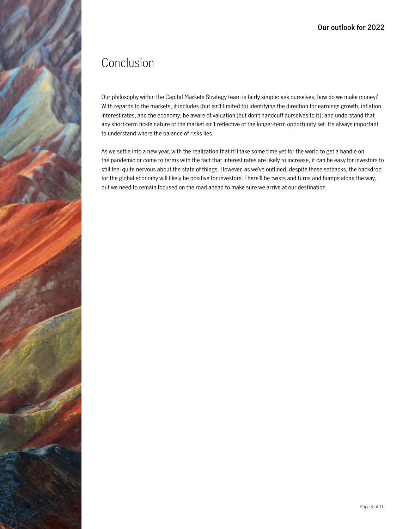### Conclusion

Our philosophy within the Capital Markets Strategy team is fairly simple: ask ourselves, how do we make money? With regards to the markets, it includes (but isn't limited to) identifying the direction for earnings growth, inflation, interest rates, and the economy; be aware of valuation (but don't handcuff ourselves to it); and understand that any short-term fickle nature of the market isn't reflective of the longer-term opportunity set. It's always important to understand where the balance of risks lies.

As we settle into a new year, with the realization that it'll take some time yet for the world to get a handle on the pandemic or come to terms with the fact that interest rates are likely to increase, it can be easy for investors to still feel quite nervous about the state of things. However, as we've outlined, despite these setbacks, the backdrop for the global economy will likely be positive for investors. There'll be twists and turns and bumps along the way, but we need to remain focused on the road ahead to make sure we arrive at our destination.